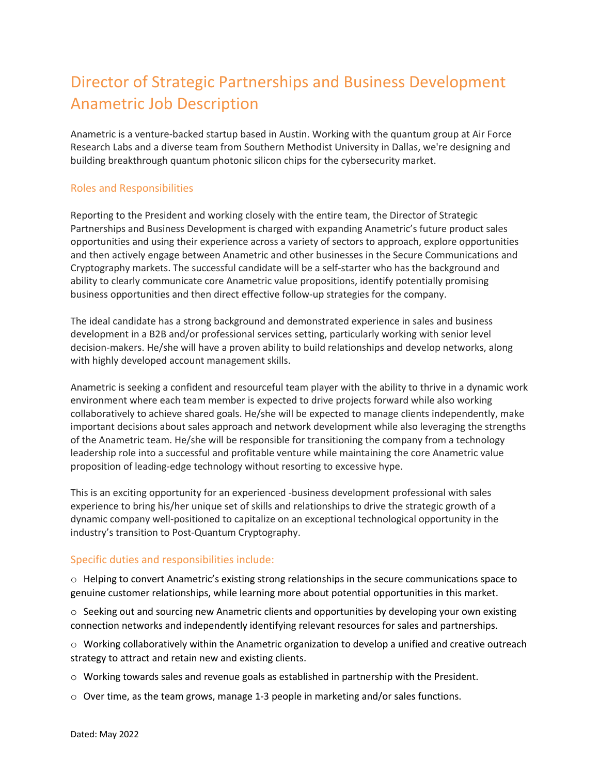# Director of Strategic Partnerships and Business Development Anametric Job Description

Anametric is a venture-backed startup based in Austin. Working with the quantum group at Air Force Research Labs and a diverse team from Southern Methodist University in Dallas, we're designing and building breakthrough quantum photonic silicon chips for the cybersecurity market.

### Roles and Responsibilities

Reporting to the President and working closely with the entire team, the Director of Strategic Partnerships and Business Development is charged with expanding Anametric's future product sales opportunities and using their experience across a variety of sectors to approach, explore opportunities and then actively engage between Anametric and other businesses in the Secure Communications and Cryptography markets. The successful candidate will be a self-starter who has the background and ability to clearly communicate core Anametric value propositions, identify potentially promising business opportunities and then direct effective follow-up strategies for the company.

The ideal candidate has a strong background and demonstrated experience in sales and business development in a B2B and/or professional services setting, particularly working with senior level decision-makers. He/she will have a proven ability to build relationships and develop networks, along with highly developed account management skills.

Anametric is seeking a confident and resourceful team player with the ability to thrive in a dynamic work environment where each team member is expected to drive projects forward while also working collaboratively to achieve shared goals. He/she will be expected to manage clients independently, make important decisions about sales approach and network development while also leveraging the strengths of the Anametric team. He/she will be responsible for transitioning the company from a technology leadership role into a successful and profitable venture while maintaining the core Anametric value proposition of leading-edge technology without resorting to excessive hype.

This is an exciting opportunity for an experienced -business development professional with sales experience to bring his/her unique set of skills and relationships to drive the strategic growth of a dynamic company well-positioned to capitalize on an exceptional technological opportunity in the industry's transition to Post-Quantum Cryptography.

### Specific duties and responsibilities include:

o Helping to convert Anametric's existing strong relationships in the secure communications space to genuine customer relationships, while learning more about potential opportunities in this market.

 $\circ$  Seeking out and sourcing new Anametric clients and opportunities by developing your own existing connection networks and independently identifying relevant resources for sales and partnerships.

o Working collaboratively within the Anametric organization to develop a unified and creative outreach strategy to attract and retain new and existing clients.

o Working towards sales and revenue goals as established in partnership with the President.

o Over time, as the team grows, manage 1-3 people in marketing and/or sales functions.